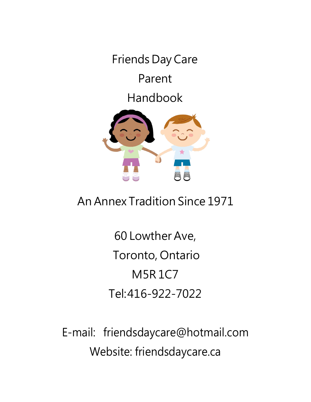Friends Day Care

Parent

Handbook



# An Annex Tradition Since 1971

60 Lowther Ave, Toronto, Ontario M5R 1C7 Tel:416-922-7022

E-mail: [friendsdaycare@hotmail.com](mailto:friendsdaycare@hotmail.com) Website: [friendsdaycare.ca](http://www.friendsdaycare.ca/)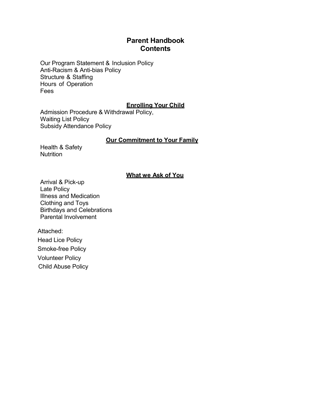# **Parent Handbook Contents**

Our Program Statement & Inclusion Policy Anti-Racism & Anti-bias Policy Structure & Staffing Hours of Operation Fees

### **Enrolling Your Child**

Admission Procedure & Withdrawal Policy, Waiting List Policy Subsidy Attendance Policy

### **Our Commitment to Your Family**

Health & Safety **Nutrition** 

# **What we Ask of You**

Arrival & Pick-up Late Policy Illness and Medication Clothing and Toys Birthdays and Celebrations Parental Involvement

Attached: Head Lice Policy Smoke-free Policy Volunteer Policy Child Abuse Policy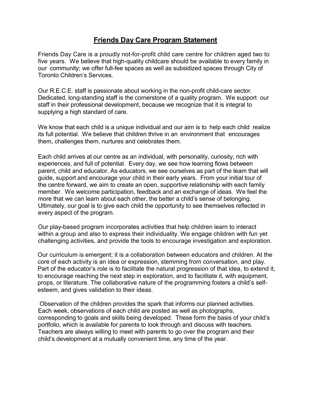# **Friends Day Care Program Statement**

Friends Day Care is a proudly not-for-profit child care centre for children aged two to five years. We believe that high-quality childcare should be available to every family in our community; we offer full-fee spaces as well as subsidized spaces through City of Toronto Children's Services.

Our R.E.C.E. staff is passionate about working in the non-profit child-care sector. Dedicated, long-standing staff is the cornerstone of a quality program. We support our staff in their professional development, because we recognize that it is integral to supplying a high standard of care.

We know that each child is a unique individual and our aim is to help each child realize its full potential. We believe that children thrive in an environment that encourages them, challenges them, nurtures and celebrates them.

Each child arrives at our centre as an individual, with personality, curiosity, rich with experiences, and full of potential. Every day, we see how learning flows between parent, child and educator. As educators, we see ourselves as part of the team that will guide, support and encourage your child in their early years. From your initial tour of the centre forward, we aim to create an open, supportive relationship with each family member. We welcome participation, feedback and an exchange of ideas. We feel the more that we can learn about each other, the better a child's sense of belonging. Ultimately, our goal is to give each child the opportunity to see themselves reflected in every aspect of the program.

Our play-based program incorporates activities that help children learn to interact within a group and also to express their individuality. We engage children with fun yet challenging activities, and provide the tools to encourage investigation and exploration.

Our curriculum is emergent; it is a collaboration between educators and children. At the core of each activity is an idea or expression, stemming from conversation, and play. Part of the educator's role is to facilitate the natural progression of that idea, to extend it, to encourage reaching the next step in exploration, and to facilitate it, with equipment, props, or literature. The collaborative nature of the programming fosters a child's selfesteem, and gives validation to their ideas.

Observation of the children provides the spark that informs our planned activities. Each week, observations of each child are posted as well as photographs, corresponding to goals and skills being developed. These form the basis of your child's portfolio, which is available for parents to look through and discuss with teachers. Teachers are always willing to meet with parents to go over the program and their child's development at a mutually convenient time, any time of the year.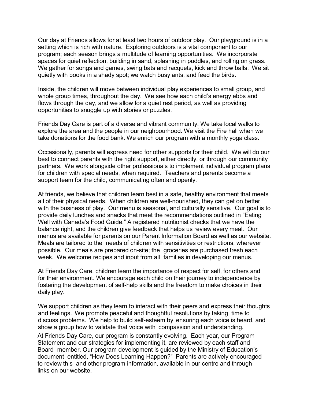Our day at Friends allows for at least two hours of outdoor play. Our playground is in a setting which is rich with nature. Exploring outdoors is a vital component to our program; each season brings a multitude of learning opportunities. We incorporate spaces for quiet reflection, building in sand, splashing in puddles, and rolling on grass. We gather for songs and games, swing bats and racquets, kick and throw balls. We sit quietly with books in a shady spot; we watch busy ants, and feed the birds.

Inside, the children will move between individual play experiences to small group, and whole group times, throughout the day. We see how each child's energy ebbs and flows through the day, and we allow for a quiet rest period, as well as providing opportunities to snuggle up with stories or puzzles.

Friends Day Care is part of a diverse and vibrant community. We take local walks to explore the area and the people in our neighbourhood. We visit the Fire hall when we take donations for the food bank. We enrich our program with a monthly yoga class.

Occasionally, parents will express need for other supports for their child. We will do our best to connect parents with the right support, either directly, or through our community partners. We work alongside other professionals to implement individual program plans for children with special needs, when required. Teachers and parents become a support team for the child, communicating often and openly.

At friends, we believe that children learn best in a safe, healthy environment that meets all of their physical needs. When children are well-nourished, they can get on better with the business of play. Our menu is seasonal, and culturally sensitive. Our goal is to provide daily lunches and snacks that meet the recommendations outlined in "Eating Well with Canada's Food Guide." A registered nutritionist checks that we have the balance right, and the children give feedback that helps us review every meal. Our menus are available for parents on our Parent Information Board as well as our website. Meals are tailored to the needs of children with sensitivities or restrictions, wherever possible. Our meals are prepared on-site; the groceries are purchased fresh each week. We welcome recipes and input from all families in developing our menus.

At Friends Day Care, children learn the importance of respect for self, for others and for their environment. We encourage each child on their journey to independence by fostering the development of self-help skills and the freedom to make choices in their daily play.

We support children as they learn to interact with their peers and express their thoughts and feelings. We promote peaceful and thoughtful resolutions by taking time to discuss problems. We help to build self-esteem by ensuring each voice is heard, and show a group how to validate that voice with compassion and understanding.

At Friends Day Care, our program is constantly evolving. Each year, our Program Statement and our strategies for implementing it, are reviewed by each staff and Board member. Our program development is guided by the Ministry of Education's document entitled, "How Does Learning Happen?" Parents are actively encouraged to review this and other program information, available in our centre and through links on our website.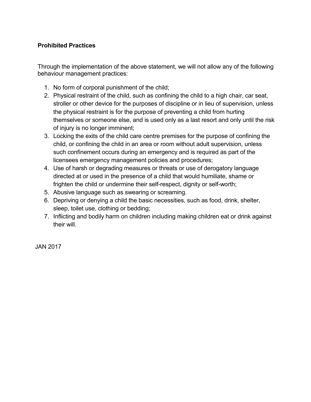# **Prohibited Practices**

Through the implementation of the above statement, we will not allow any of the following behaviour management practices:

- 1. No form of corporal punishment of the child;
- 2. Physical restraint of the child, such as confining the child to a high chair, car seat, stroller or other device for the purposes of discipline or in lieu of supervision, unless the physical restraint is for the purpose of preventing a child from hurting themselves or someone else, and is used only as a last resort and only until the risk of injury is no longer imminent;
- 3. Locking the exits of the child care centre premises for the purpose of confining the child, or confining the child in an area or room without adult supervision, unless such confinement occurs during an emergency and is required as part of the licensees emergency management policies and procedures;
- 4. Use of harsh or degrading measures or threats or use of derogatory language directed at or used in the presence of a child that would humiliate, shame or frighten the child or undermine their self-respect, dignity or self-worth;
- 5. Abusive language such as swearing or screaming.
- 6. Depriving or denying a child the basic necessities, such as food, drink, shelter, sleep, toilet use, clothing or bedding;
- 7. Inflicting and bodily harm on children including making children eat or drink against their will.

JAN 2017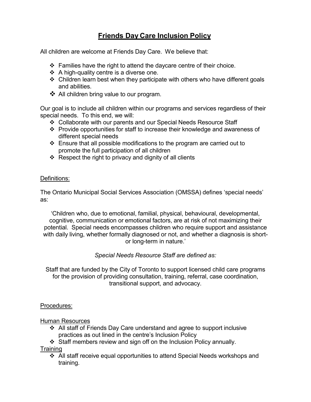# **Friends Day Care Inclusion Policy**

All children are welcome at Friends Day Care. We believe that:

- $\div$  Families have the right to attend the daycare centre of their choice.
- $\div$  A high-quality centre is a diverse one.
- $\div$  Children learn best when they participate with others who have different goals and abilities.
- ❖ All children bring value to our program.

Our goal is to include all children within our programs and services regardless of their special needs. To this end, we will:

- Collaborate with our parents and our Special Needs Resource Staff
- Provide opportunities for staff to increase their knowledge and awareness of different special needs
- Ensure that all possible modifications to the program are carried out to promote the full participation of all children
- $\div$  Respect the right to privacy and dignity of all clients

### Definitions:

The Ontario Municipal Social Services Association (OMSSA) defines 'special needs' as:

'Children who, due to emotional, familial, physical, behavioural, developmental, cognitive, communication or emotional factors, are at risk of not maximizing their potential. Special needs encompasses children who require support and assistance with daily living, whether formally diagnosed or not, and whether a diagnosis is shortor long-term in nature.'

## *Special Needs Resource Staff are defined as:*

Staff that are funded by the City of Toronto to support licensed child care programs for the provision of providing consultation, training, referral, case coordination, transitional support, and advocacy.

### Procedures:

Human Resources

- All staff of Friends Day Care understand and agree to support inclusive practices as out lined in the centre's Inclusion Policy
- $\div$  Staff members review and sign off on the Inclusion Policy annually.

**Training** 

 All staff receive equal opportunities to attend Special Needs workshops and training.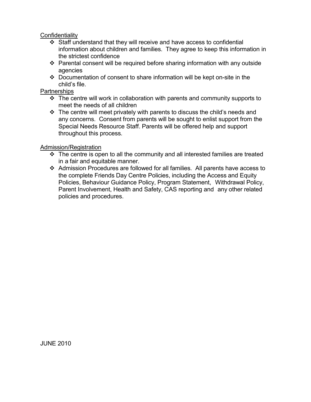### **Confidentiality**

- Staff understand that they will receive and have access to confidential information about children and families. They agree to keep this information in the strictest confidence
- Parental consent will be required before sharing information with any outside agencies
- Documentation of consent to share information will be kept on-site in the child's file.

### **Partnerships**

- $\cdot$  The centre will work in collaboration with parents and community supports to meet the needs of all children
- $\div$  The centre will meet privately with parents to discuss the child's needs and any concerns. Consent from parents will be sought to enlist support from the Special Needs Resource Staff. Parents will be offered help and support throughout this process.

### Admission/Registration

- $\div$  The centre is open to all the community and all interested families are treated in a fair and equitable manner.
- Admission Procedures are followed for all families. All parents have access to the complete Friends Day Centre Policies, including the Access and Equity Policies, Behaviour Guidance Policy, Program Statement, Withdrawal Policy, Parent Involvement, Health and Safety, CAS reporting and any other related policies and procedures.

JUNE 2010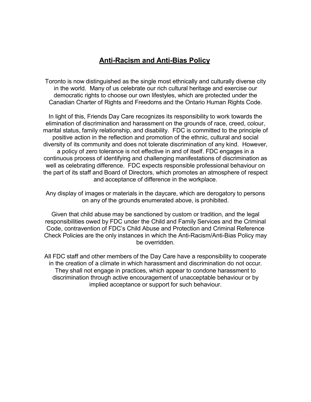# **Anti-Racism and Anti-Bias Policy**

Toronto is now distinguished as the single most ethnically and culturally diverse city in the world. Many of us celebrate our rich cultural heritage and exercise our democratic rights to choose our own lifestyles, which are protected under the Canadian Charter of Rights and Freedoms and the Ontario Human Rights Code.

In light of this, Friends Day Care recognizes its responsibility to work towards the elimination of discrimination and harassment on the grounds of race, creed, colour, marital status, family relationship, and disability. FDC is committed to the principle of positive action in the reflection and promotion of the ethnic, cultural and social diversity of its community and does not tolerate discrimination of any kind. However, a policy of zero tolerance is not effective in and of itself. FDC engages in a continuous process of identifying and challenging manifestations of discrimination as well as celebrating difference. FDC expects responsible professional behaviour on the part of its staff and Board of Directors, which promotes an atmosphere of respect and acceptance of difference in the workplace.

Any display of images or materials in the daycare, which are derogatory to persons on any of the grounds enumerated above, is prohibited.

Given that child abuse may be sanctioned by custom or tradition, and the legal responsibilities owed by FDC under the Child and Family Services and the Criminal Code, contravention of FDC's Child Abuse and Protection and Criminal Reference Check Policies are the only instances in which the Anti-Racism/Anti-Bias Policy may be overridden.

All FDC staff and other members of the Day Care have a responsibility to cooperate in the creation of a climate in which harassment and discrimination do not occur. They shall not engage in practices, which appear to condone harassment to discrimination through active encouragement of unacceptable behaviour or by implied acceptance or support for such behaviour.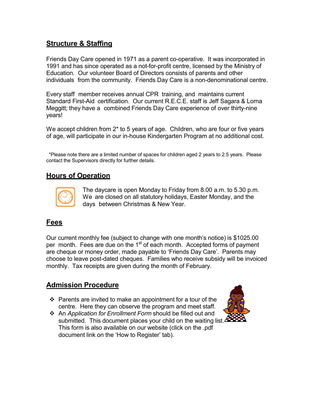# **Structure & Staffing**

Friends Day Care opened in 1971 as a parent co-operative. It was incorporated in 1991 and has since operated as a not-for-profit centre, licensed by the Ministry of Education. Our volunteer Board of Directors consists of parents and other individuals from the community. Friends Day Care is a non-denominational centre.

Every staff member receives annual CPR training, and maintains current Standard First-Aid certification. Our current R.E.C.E. staff is Jeff Sagara & Lorna Meggitt; they have a combined Friends Day Care experience of over thirty-nine years!

We accept children from 2<sup>\*</sup> to 5 years of age. Children, who are four or five years of age, will participate in our in-house Kindergarten Program at no additional cost.

\*Please note there are a limited number of spaces for children aged 2 years to 2.5 years. Please contact the Supervisors directly for further details.

# **Hours of Operation**



The daycare is open Monday to Friday from 8.00 a.m. to 5.30 p.m. We are closed on all statutory holidays, Easter Monday, and the days between Christmas & New Year.

# **Fees**

Our current monthly fee (subject to change with one month's notice) is \$1025.00 per month. Fees are due on the 1<sup>st</sup> of each month. Accepted forms of payment are cheque or money order, made payable to 'Friends Day Care'. Parents may choose to leave post-dated cheques. Families who receive subsidy will be invoiced monthly. Tax receipts are given during the month of February.

# **Admission Procedure**

- $\div$  Parents are invited to make an appointment for a tour of the centre. Here they can observe the program and meet staff.
- An *Application for Enrollment Form* should be filled out and submitted. This document places your child on the waiting list. This form is also available on our website (click on the .pdf document link on the 'How to Register' tab).

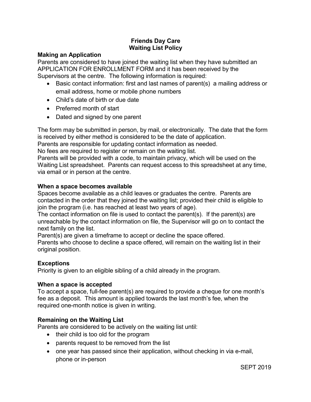# **Friends Day Care Waiting List Policy**

#### **Making an Application**

Parents are considered to have joined the waiting list when they have submitted an APPLICATION FOR ENROLLMENT FORM and it has been received by the Supervisors at the centre. The following information is required:

- Basic contact information: first and last names of parent(s) a mailing address or email address, home or mobile phone numbers
- Child's date of birth or due date
- Preferred month of start
- Dated and signed by one parent

The form may be submitted in person, by mail, or electronically. The date that the form is received by either method is considered to be the date of application.

Parents are responsible for updating contact information as needed.

No fees are required to register or remain on the waiting list.

Parents will be provided with a code, to maintain privacy, which will be used on the Waiting List spreadsheet. Parents can request access to this spreadsheet at any time, via email or in person at the centre.

### **When a space becomes available**

Spaces become available as a child leaves or graduates the centre. Parents are contacted in the order that they joined the waiting list; provided their child is eligible to join the program (i.e. has reached at least two years of age).

The contact information on file is used to contact the parent(s). If the parent(s) are unreachable by the contact information on file, the Supervisor will go on to contact the next family on the list.

Parent(s) are given a timeframe to accept or decline the space offered.

Parents who choose to decline a space offered, will remain on the waiting list in their original position.

### **Exceptions**

Priority is given to an eligible sibling of a child already in the program.

#### **When a space is accepted**

To accept a space, full-fee parent(s) are required to provide a cheque for one month's fee as a deposit. This amount is applied towards the last month's fee, when the required one-month notice is given in writing.

### **Remaining on the Waiting List**

Parents are considered to be actively on the waiting list until:

- their child is too old for the program
- parents request to be removed from the list
- one year has passed since their application, without checking in via e-mail, phone or in-person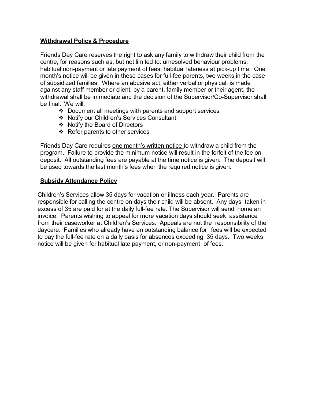### **Withdrawal Policy & Procedure**

Friends Day Care reserves the right to ask any family to withdraw their child from the centre, for reasons such as, but not limited to: unresolved behaviour problems, habitual non-payment or late payment of fees; habitual lateness at pick-up time. One month's notice will be given in these cases for full-fee parents, two weeks in the case of subsidized families. Where an abusive act, either verbal or physical, is made against any staff member or client, by a parent, family member or their agent, the withdrawal shall be immediate and the decision of the Supervisor/Co-Supervisor shall be final. We will:

- $\div$  Document all meetings with parents and support services
- ❖ Notify our Children's Services Consultant
- ❖ Notify the Board of Directors
- $\div$  Refer parents to other services

Friends Day Care requires one month's written notice to withdraw a child from the program. Failure to provide the minimum notice will result in the forfeit of the fee on deposit. All outstanding fees are payable at the time notice is given. The deposit will be used towards the last month's fees when the required notice is given.

### **Subsidy Attendance Policy**

Children's Services allow 35 days for vacation or illness each year. Parents are responsible for calling the centre on days their child will be absent. Any days taken in excess of 35 are paid for at the daily full-fee rate. The Supervisor will send home an invoice. Parents wishing to appeal for more vacation days should seek assistance from their caseworker at Children's Services. Appeals are not the responsibility of the daycare. Families who already have an outstanding balance for fees will be expected to pay the full-fee rate on a daily basis for absences exceeding 35 days. Two weeks notice will be given for habitual late payment, or non-payment of fees.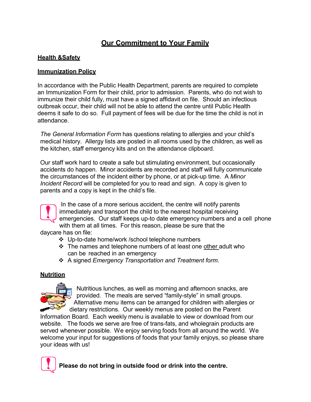# **Our Commitment to Your Family**

### **Health &Safety**

### **Immunization Policy**

In accordance with the Public Health Department, parents are required to complete an Immunization Form for their child, prior to admission. Parents, who do not wish to immunize their child fully, must have a signed affidavit on file. Should an infectious outbreak occur, their child will not be able to attend the centre until Public Health deems it safe to do so. Full payment of fees will be due for the time the child is not in attendance.

*The General Information Form* has questions relating to allergies and your child's medical history. Allergy lists are posted in all rooms used by the children, as well as the kitchen, staff emergency kits and on the attendance clipboard.

Our staff work hard to create a safe but stimulating environment, but occasionally accidents do happen. Minor accidents are recorded and staff will fully communicate the circumstances of the incident either by phone, or at pick-up time. A *Minor Incident Record* will be completed for you to read and sign. A copy is given to parents and a copy is kept in the child's file.

In the case of a more serious accident, the centre will notify parents immediately and transport the child to the nearest hospital receiving emergencies. Our staff keeps up-to date emergency numbers and a cell phone with them at all times. For this reason, please be sure that the daycare has on file:

- Up-to-date home/work /school telephone numbers
- ❖ The names and telephone numbers of at least one other adult who can be reached in an emergency
- A signed *Emergency Transportation and Treatment form*.

### **Nutrition**



Nutritious lunches, as well as morning and afternoon snacks, are provided. The meals are served "family-style" in small groups. Alternative menu items can be arranged for children with allergies or dietary restrictions. Our weekly menus are posted on the Parent

Information Board. Each weekly menu is available to view or download from our website. The foods we serve are free of trans-fats, and wholegrain products are served whenever possible. We enjoy serving foods from all around the world. We welcome your input for suggestions of foods that your family enjoys, so please share your ideas with us!



 **Please do not bring in outside food or drink into the centre.**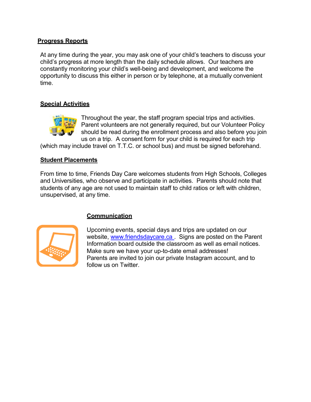### **Progress Reports**

At any time during the year, you may ask one of your child's teachers to discuss your child's progress at more length than the daily schedule allows. Our teachers are constantly monitoring your child's well-being and development, and welcome the opportunity to discuss this either in person or by telephone, at a mutually convenient time.

### **Special Activities**



Throughout the year, the staff program special trips and activities. Parent volunteers are not generally required, but our Volunteer Policy should be read during the enrollment process and also before you join us on a trip. A consent form for your child is required for each trip

(which may include travel on T.T.C. or school bus) and must be signed beforehand.

#### **Student Placements**

From time to time, Friends Day Care welcomes students from High Schools, Colleges and Universities, who observe and participate in activities. Parents should note that students of any age are not used to maintain staff to child ratios or left with children, unsupervised, at any time.



## **Communication**

Upcoming events, special days and trips are updated on our website, [www.friendsdaycare.ca](http://www.friendsdaycare.ca/) . Signs are posted on the Parent Information board outside the classroom as well as email notices. Make sure we have your up-to-date email addresses! Parents are invited to join our private Instagram account, and to follow us on Twitter.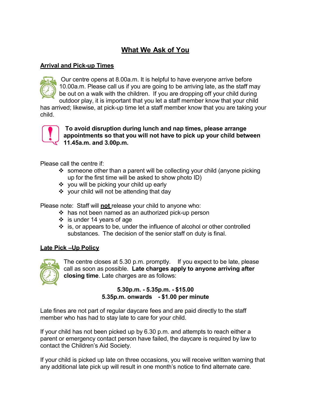# **What We Ask of You**

### **Arrival and Pick-up Times**



Our centre opens at 8.00a.m. It is helpful to have everyone arrive before 10.00a.m. Please call us if you are going to be arriving late, as the staff may be out on a walk with the children. If you are dropping off your child during outdoor play, it is important that you let a staff member know that your child

has arrived; likewise, at pick-up time let a staff member know that you are taking your child.



**To avoid disruption during lunch and nap times, please arrange appointments so that you will not have to pick up your child between 11.45a.m. and 3.00p.m.**

Please call the centre if:

- $\cdot$  someone other than a parent will be collecting your child (anyone picking up for the first time will be asked to show photo ID)
- ❖ you will be picking your child up early
- $\div$  your child will not be attending that day

Please note: Staff will **not** release your child to anyone who:

- $\cdot$  has not been named as an authorized pick-up person
- $\div$  is under 14 years of age
- $\div$  is, or appears to be, under the influence of alcohol or other controlled substances. The decision of the senior staff on duty is final.

#### **Late Pick –Up Policy**



The centre closes at 5.30 p.m. promptly. If you expect to be late, please call as soon as possible. **Late charges apply to anyone arriving after closing time**. Late charges are as follows:

### **5.30p.m. - 5.35p.m. - \$15.00 5.35p.m. onwards - \$1.00 per minute**

Late fines are not part of regular daycare fees and are paid directly to the staff member who has had to stay late to care for your child.

If your child has not been picked up by 6.30 p.m. and attempts to reach either a parent or emergency contact person have failed, the daycare is required by law to contact the Children's Aid Society.

If your child is picked up late on three occasions, you will receive written warning that any additional late pick up will result in one month's notice to find alternate care.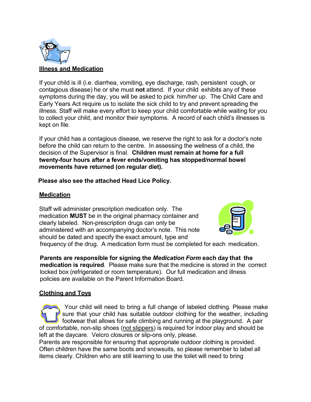

If your child is ill (i.e. diarrhea, vomiting, eye discharge, rash, persistent cough, or contagious disease) he or she must **not** attend. If your child exhibits any of these symptoms during the day, you will be asked to pick him/her up. The Child Care and Early Years Act require us to isolate the sick child to try and prevent spreading the illness. Staff will make every effort to keep your child comfortable while waiting for you to collect your child, and monitor their symptoms. A record of each child's illnesses is kept on file.

If your child has a contagious disease, we reserve the right to ask for a doctor's note before the child can return to the centre. In assessing the wellness of a child, the decision of the Supervisor is final. **Children must remain at home for a full twenty-four hours after a fever ends/vomiting has stopped/normal bowel movements have returned (on regular diet).**

### **Please also see the attached Head Lice Policy.**

## **Medication**

Staff will administer prescription medication only. The medication **MUST** be in the original pharmacy container and clearly labeled. Non-prescription drugs can only be administered with an accompanying doctor's note. This note should be dated and specify the exact amount, type and



frequency of the drug. A medication form must be completed for each medication.

**Parents are responsible for signing the** *Medication Form* **each day that the medication is required**. Please make sure that the medicine is stored in the correct locked box (refrigerated or room temperature). Our full medication and illness policies are available on the Parent Information Board.

### **Clothing and Toys**

Your child will need to bring a full change of labeled clothing. Please make sure that your child has suitable outdoor clothing for the weather, including footwear that allows for safe climbing and running at the playground. A pair of comfortable, non-slip shoes (not slippers) is required for indoor play and should be left at the daycare. Velcro closures or slip-ons only, please.

Parents are responsible for ensuring that appropriate outdoor clothing is provided. Often children have the same boots and snowsuits, so please remember to label all items clearly. Children who are still learning to use the toilet will need to bring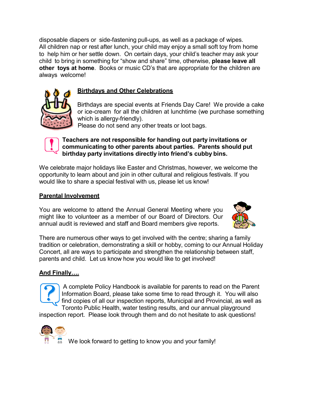disposable diapers or side-fastening pull-ups, as well as a package of wipes. All children nap or rest after lunch, your child may enjoy a small soft toy from home to help him or her settle down. On certain days, your child's teacher may ask your child to bring in something for "show and share" time, otherwise, **please leave all other toys at home**. Books or music CD's that are appropriate for the children are always welcome!

# **Birthdays and Other Celebrations**

Birthdays are special events at Friends Day Care! We provide a cake or ice-cream for all the children at lunchtime (we purchase something which is allergy-friendly).

Please do not send any other treats or loot bags.



### **Teachers are not responsible for handing out party invitations or communicating to other parents about parties. Parents should put birthday party invitations directly into friend's cubby bins.**

We celebrate major holidays like Easter and Christmas, however, we welcome the opportunity to learn about and join in other cultural and religious festivals. If you would like to share a special festival with us, please let us know!

### **Parental Involvement**

You are welcome to attend the Annual General Meeting where you might like to volunteer as a member of our Board of Directors. Our annual audit is reviewed and staff and Board members give reports.



There are numerous other ways to get involved with the centre; sharing a family tradition or celebration, demonstrating a skill or hobby, coming to our Annual Holiday Concert, all are ways to participate and strengthen the relationship between staff, parents and child. Let us know how you would like to get involved!

## **And Finally….**

A complete Policy Handbook is available for parents to read on the Parent Information Board, please take some time to read through it. You will also find copies of all our inspection reports, Municipal and Provincial, as well as Toronto Public Health, water testing results, and our annual playground

inspection report. Please look through them and do not hesitate to ask questions!

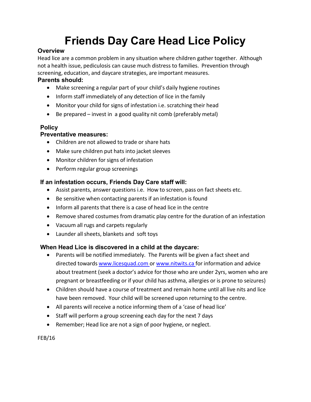# **Friends Day Care Head Lice Policy**

## **Overview**

Head lice are a common problem in any situation where children gather together. Although not a health issue, pediculosis can cause much distress to families. Prevention through screening, education, and daycare strategies, are important measures.

## **Parents should:**

- Make screening a regular part of your child's daily hygiene routines
- Inform staff immediately of any detection of lice in the family
- Monitor your child for signs of infestation i.e. scratching their head
- Be prepared invest in a good quality nit comb (preferably metal)

# **Policy**

# **Preventative measures:**

- Children are not allowed to trade or share hats
- Make sure children put hats into jacket sleeves
- Monitor children for signs of infestation
- Perform regular group screenings

# **If an infestation occurs, Friends Day Care staff will:**

- Assist parents, answer questions i.e. How to screen, pass on fact sheets etc.
- Be sensitive when contacting parents if an infestation is found
- $\bullet$  Inform all parents that there is a case of head lice in the centre
- Remove shared costumes from dramatic play centre for the duration of an infestation
- Vacuum all rugs and carpets regularly
- Launder all sheets, blankets and soft toys

# **When Head Lice is discovered in a child at the daycare:**

- Parents will be notified immediately. The Parents will be given a fact sheet and directed towards [www.licesquad.com](http://www.licesquad.com/) or [www.nitwits.ca](http://www.nitwits.ca/) for information and advice about treatment (seek a doctor's advice for those who are under 2yrs, women who are pregnant or breastfeeding or if your child has asthma, allergies or is prone to seizures)
- Children should have a course of treatment and remain home until all live nits and lice have been removed. Your child will be screened upon returning to the centre.
- All parents will receive a notice informing them of a 'case of head lice'
- Staff will perform a group screening each day for the next 7 days
- Remember; Head lice are not a sign of poor hygiene, or neglect.

FEB/16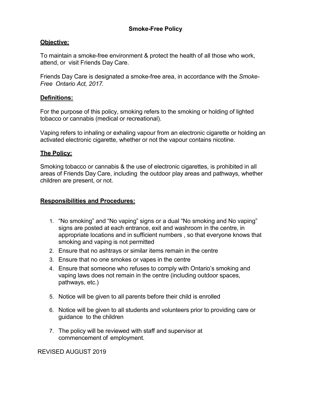### **Objective:**

To maintain a smoke-free environment & protect the health of all those who work, attend, or visit Friends Day Care.

Friends Day Care is designated a smoke-free area, in accordance with the *Smoke-Free Ontario Act, 2017.*

### **Definitions:**

For the purpose of this policy, smoking refers to the smoking or holding of lighted tobacco or cannabis (medical or recreational).

Vaping refers to inhaling or exhaling vapour from an electronic cigarette or holding an activated electronic cigarette, whether or not the vapour contains nicotine.

#### **The Policy:**

Smoking tobacco or cannabis & the use of electronic cigarettes, is prohibited in all areas of Friends Day Care, including the outdoor play areas and pathways, whether children are present, or not.

#### **Responsibilities and Procedures:**

- 1. "No smoking" and "No vaping" signs or a dual "No smoking and No vaping" signs are posted at each entrance, exit and washroom in the centre, in appropriate locations and in sufficient numbers , so that everyone knows that smoking and vaping is not permitted
- 2. Ensure that no ashtrays or similar items remain in the centre
- 3. Ensure that no one smokes or vapes in the centre
- 4. Ensure that someone who refuses to comply with Ontario's smoking and vaping laws does not remain in the centre (including outdoor spaces, pathways, etc.)
- 5. Notice will be given to all parents before their child is enrolled
- 6. Notice will be given to all students and volunteers prior to providing care or guidance to the children
- 7. The policy will be reviewed with staff and supervisor at commencement of employment.

REVISED AUGUST 2019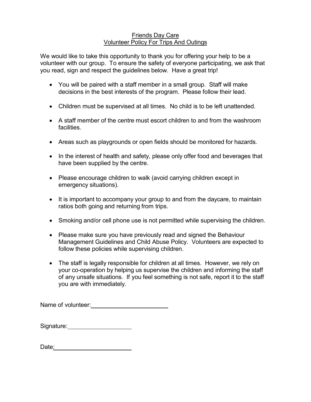#### Friends Day Care Volunteer Policy For Trips And Outings

We would like to take this opportunity to thank you for offering your help to be a volunteer with our group. To ensure the safety of everyone participating, we ask that you read, sign and respect the guidelines below. Have a great trip!

- You will be paired with a staff member in a small group. Staff will make decisions in the best interests of the program. Please follow their lead.
- Children must be supervised at all times. No child is to be left unattended.
- A staff member of the centre must escort children to and from the washroom facilities.
- Areas such as playgrounds or open fields should be monitored for hazards.
- In the interest of health and safety, please only offer food and beverages that have been supplied by the centre.
- Please encourage children to walk (avoid carrying children except in emergency situations).
- It is important to accompany your group to and from the daycare, to maintain ratios both going and returning from trips.
- Smoking and/or cell phone use is not permitted while supervising the children.
- Please make sure you have previously read and signed the Behaviour Management Guidelines and Child Abuse Policy. Volunteers are expected to follow these policies while supervising children.
- The staff is legally responsible for children at all times. However, we rely on your co-operation by helping us supervise the children and informing the staff of any unsafe situations. If you feel something is not safe, report it to the staff you are with immediately.

Name of volunteer: when the state of  $\sim$